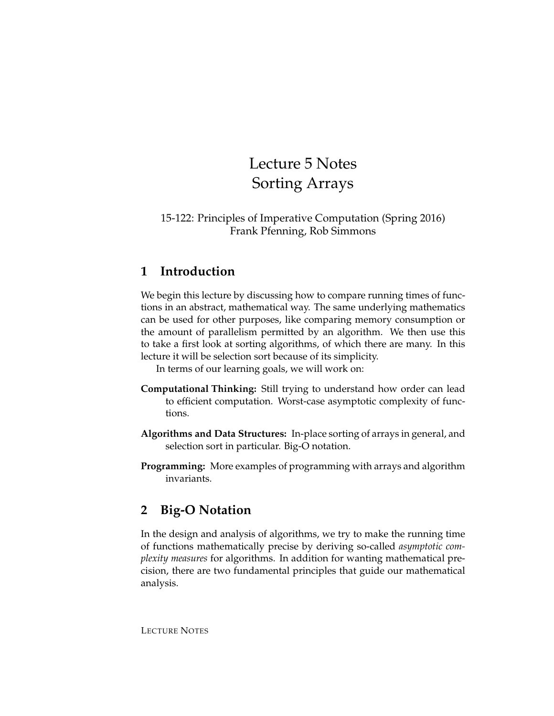# Lecture 5 Notes Sorting Arrays

### 15-122: Principles of Imperative Computation (Spring 2016) Frank Pfenning, Rob Simmons

## **1 Introduction**

We begin this lecture by discussing how to compare running times of functions in an abstract, mathematical way. The same underlying mathematics can be used for other purposes, like comparing memory consumption or the amount of parallelism permitted by an algorithm. We then use this to take a first look at sorting algorithms, of which there are many. In this lecture it will be selection sort because of its simplicity.

In terms of our learning goals, we will work on:

- **Computational Thinking:** Still trying to understand how order can lead to efficient computation. Worst-case asymptotic complexity of functions.
- **Algorithms and Data Structures:** In-place sorting of arrays in general, and selection sort in particular. Big-O notation.
- **Programming:** More examples of programming with arrays and algorithm invariants.

# **2 Big-O Notation**

In the design and analysis of algorithms, we try to make the running time of functions mathematically precise by deriving so-called *asymptotic complexity measures* for algorithms. In addition for wanting mathematical precision, there are two fundamental principles that guide our mathematical analysis.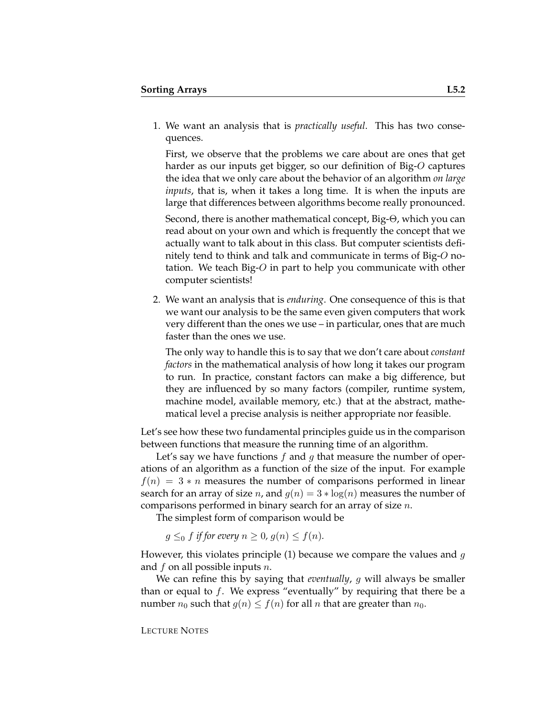1. We want an analysis that is *practically useful*. This has two consequences.

First, we observe that the problems we care about are ones that get harder as our inputs get bigger, so our definition of Big-O captures the idea that we only care about the behavior of an algorithm *on large inputs*, that is, when it takes a long time. It is when the inputs are large that differences between algorithms become really pronounced.

Second, there is another mathematical concept, Big-Θ, which you can read about on your own and which is frequently the concept that we actually want to talk about in this class. But computer scientists definitely tend to think and talk and communicate in terms of Big- $O$  notation. We teach Big- $O$  in part to help you communicate with other computer scientists!

2. We want an analysis that is *enduring*. One consequence of this is that we want our analysis to be the same even given computers that work very different than the ones we use – in particular, ones that are much faster than the ones we use.

The only way to handle this is to say that we don't care about *constant factors* in the mathematical analysis of how long it takes our program to run. In practice, constant factors can make a big difference, but they are influenced by so many factors (compiler, runtime system, machine model, available memory, etc.) that at the abstract, mathematical level a precise analysis is neither appropriate nor feasible.

Let's see how these two fundamental principles guide us in the comparison between functions that measure the running time of an algorithm.

Let's say we have functions  $f$  and  $g$  that measure the number of operations of an algorithm as a function of the size of the input. For example  $f(n) = 3 * n$  measures the number of comparisons performed in linear search for an array of size *n*, and  $g(n) = 3 * log(n)$  measures the number of comparisons performed in binary search for an array of size n.

The simplest form of comparison would be

 $g \leq_0 f$  *if for every*  $n \geq 0$ ,  $g(n) \leq f(n)$ .

However, this violates principle (1) because we compare the values and  $g$ and  $f$  on all possible inputs  $n$ .

We can refine this by saying that *eventually*, g will always be smaller than or equal to  $f$ . We express "eventually" by requiring that there be a number  $n_0$  such that  $g(n) \le f(n)$  for all n that are greater than  $n_0$ .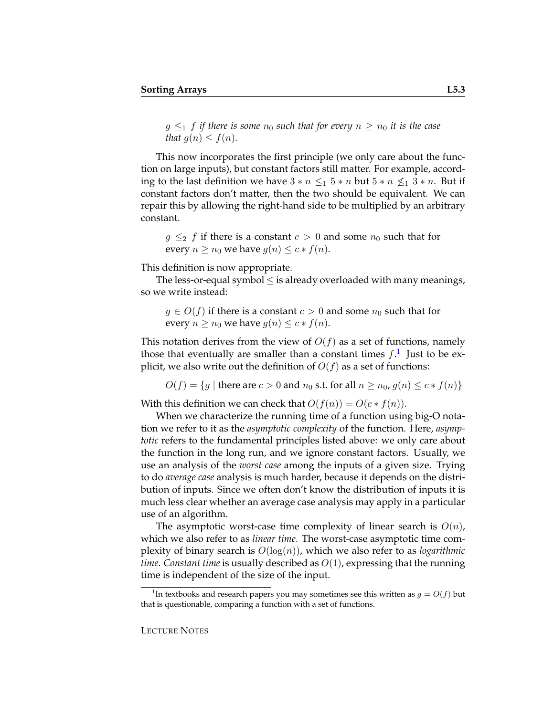$g \leq_1 f$  *if there is some*  $n_0$  *such that for every*  $n \geq n_0$  *it is the case that*  $q(n) \leq f(n)$ *.* 

This now incorporates the first principle (we only care about the function on large inputs), but constant factors still matter. For example, according to the last definition we have  $3 * n \leq 1$   $5 * n$  but  $5 * n \nleq 1$   $3 * n$ . But if constant factors don't matter, then the two should be equivalent. We can repair this by allowing the right-hand side to be multiplied by an arbitrary constant.

 $g \leq_2 f$  if there is a constant  $c > 0$  and some  $n_0$  such that for every  $n \ge n_0$  we have  $g(n) \le c * f(n)$ .

This definition is now appropriate.

The less-or-equal symbol  $\leq$  is already overloaded with many meanings, so we write instead:

 $g \in O(f)$  if there is a constant  $c > 0$  and some  $n_0$  such that for every  $n \ge n_0$  we have  $q(n) \le c * f(n)$ .

This notation derives from the view of  $O(f)$  as a set of functions, namely those that eventually are smaller than a constant times  $f$ .<sup>[1](#page-2-0)</sup> Just to be explicit, we also write out the definition of  $O(f)$  as a set of functions:

 $O(f) = \{g \mid \text{there are } c > 0 \text{ and } n_0 \text{ s.t. for all } n \geq n_0, g(n) \leq c * f(n)\}\$ 

With this definition we can check that  $O(f(n)) = O(c * f(n))$ .

When we characterize the running time of a function using big-O notation we refer to it as the *asymptotic complexity* of the function. Here, *asymptotic* refers to the fundamental principles listed above: we only care about the function in the long run, and we ignore constant factors. Usually, we use an analysis of the *worst case* among the inputs of a given size. Trying to do *average case* analysis is much harder, because it depends on the distribution of inputs. Since we often don't know the distribution of inputs it is much less clear whether an average case analysis may apply in a particular use of an algorithm.

The asymptotic worst-case time complexity of linear search is  $O(n)$ , which we also refer to as *linear time*. The worst-case asymptotic time complexity of binary search is O(log(n)), which we also refer to as *logarithmic time*. *Constant time* is usually described as O(1), expressing that the running time is independent of the size of the input.

<span id="page-2-0"></span><sup>&</sup>lt;sup>1</sup>In textbooks and research papers you may sometimes see this written as  $g = O(f)$  but that is questionable, comparing a function with a set of functions.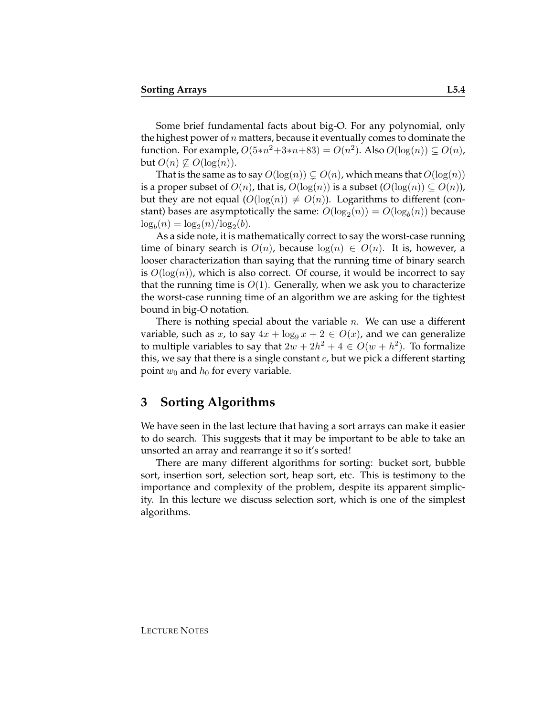Some brief fundamental facts about big-O. For any polynomial, only the highest power of  $n$  matters, because it eventually comes to dominate the function. For example,  $O(5*n^2+3*n+83) = O(n^2)$ . Also  $O(\log(n)) \subseteq O(n)$ , but  $O(n) \nsubseteq O(\log(n)).$ 

That is the same as to say  $O(\log(n)) \subsetneq O(n)$ , which means that  $O(\log(n))$ is a proper subset of  $O(n)$ , that is,  $O(log(n))$  is a subset  $(O(log(n)) \subseteq O(n))$ , but they are not equal  $(O(\log(n)) \neq O(n))$ . Logarithms to different (constant) bases are asymptotically the same:  $O(\log_2(n)) = O(\log_b(n))$  because  $\log_b(n) = \log_2(n) / \log_2(b).$ 

As a side note, it is mathematically correct to say the worst-case running time of binary search is  $O(n)$ , because  $log(n) \in O(n)$ . It is, however, a looser characterization than saying that the running time of binary search is  $O(log(n))$ , which is also correct. Of course, it would be incorrect to say that the running time is  $O(1)$ . Generally, when we ask you to characterize the worst-case running time of an algorithm we are asking for the tightest bound in big-O notation.

There is nothing special about the variable  $n$ . We can use a different variable, such as x, to say  $4x + \log_9 x + 2 \in O(x)$ , and we can generalize to multiple variables to say that  $2w + 2h^2 + 4 \in O(w + h^2)$ . To formalize this, we say that there is a single constant  $c$ , but we pick a different starting point  $w_0$  and  $h_0$  for every variable.

#### **3 Sorting Algorithms**

We have seen in the last lecture that having a sort arrays can make it easier to do search. This suggests that it may be important to be able to take an unsorted an array and rearrange it so it's sorted!

There are many different algorithms for sorting: bucket sort, bubble sort, insertion sort, selection sort, heap sort, etc. This is testimony to the importance and complexity of the problem, despite its apparent simplicity. In this lecture we discuss selection sort, which is one of the simplest algorithms.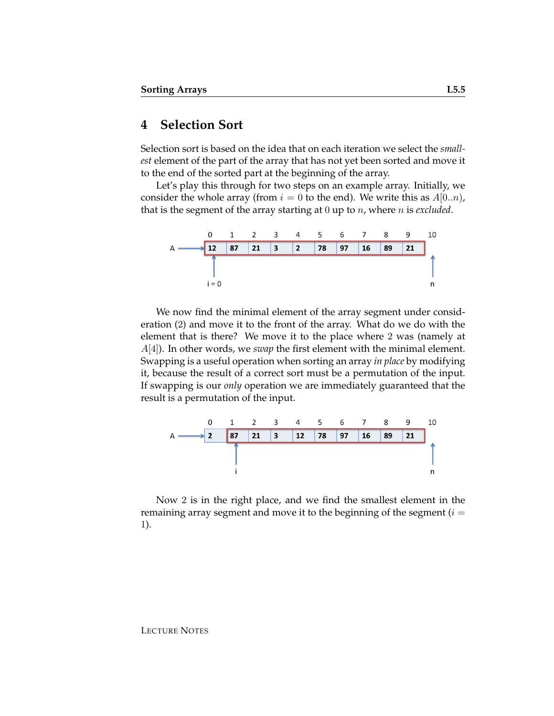## **4 Selection Sort**

Selection sort is based on the idea that on each iteration we select the *smallest* element of the part of the array that has not yet been sorted and move it to the end of the sorted part at the beginning of the array.

Let's play this through for two steps on an example array. Initially, we consider the whole array (from  $i = 0$  to the end). We write this as  $A[0..n)$ , that is the segment of the array starting at 0 up to n, where n is *excluded*.



We now find the minimal element of the array segment under consideration (2) and move it to the front of the array. What do we do with the element that is there? We move it to the place where 2 was (namely at A[4]). In other words, we *swap* the first element with the minimal element. Swapping is a useful operation when sorting an array *in place* by modifying it, because the result of a correct sort must be a permutation of the input. If swapping is our *only* operation we are immediately guaranteed that the result is a permutation of the input.



Now 2 is in the right place, and we find the smallest element in the remaining array segment and move it to the beginning of the segment  $(i =$ 1).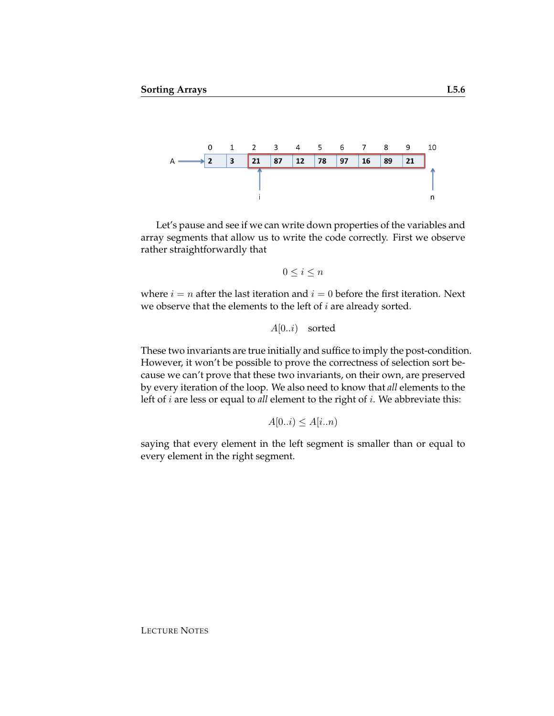

Let's pause and see if we can write down properties of the variables and array segments that allow us to write the code correctly. First we observe rather straightforwardly that

 $0 \leq i \leq n$ 

where  $i = n$  after the last iteration and  $i = 0$  before the first iteration. Next we observe that the elements to the left of  $i$  are already sorted.

 $A[0..i)$  sorted

These two invariants are true initially and suffice to imply the post-condition. However, it won't be possible to prove the correctness of selection sort because we can't prove that these two invariants, on their own, are preserved by every iteration of the loop. We also need to know that *all* elements to the left of i are less or equal to *all* element to the right of i. We abbreviate this:

 $A[0..i) \leq A[i..n]$ 

saying that every element in the left segment is smaller than or equal to every element in the right segment.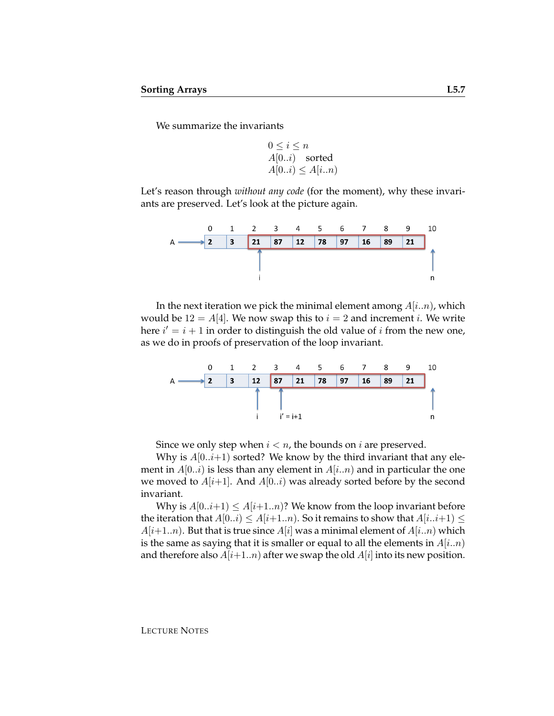We summarize the invariants

$$
0 \le i \le n
$$
  
A[0..i) sorted  
A[0..i) \le A[i..n)

Let's reason through *without any code* (for the moment), why these invariants are preserved. Let's look at the picture again.



In the next iteration we pick the minimal element among  $A[i..n]$ , which would be  $12 = A[4]$ . We now swap this to  $i = 2$  and increment i. We write here  $i' = i + 1$  in order to distinguish the old value of i from the new one, as we do in proofs of preservation of the loop invariant.



Since we only step when  $i < n$ , the bounds on i are preserved.

Why is  $A[0..i+1)$  sorted? We know by the third invariant that any element in  $A[0..i)$  is less than any element in  $A[i..n)$  and in particular the one we moved to  $A[i+1]$ . And  $A[0..i)$  was already sorted before by the second invariant.

Why is  $A[0..i+1] \leq A[i+1..n]$ ? We know from the loop invariant before the iteration that  $A[0..i) \leq A[i+1..n]$ . So it remains to show that  $A[i..i+1) \leq$  $A[i+1..n]$ . But that is true since  $A[i]$  was a minimal element of  $A[i..n]$  which is the same as saying that it is smaller or equal to all the elements in  $A[i..n]$ and therefore also  $A[i+1..n]$  after we swap the old  $A[i]$  into its new position.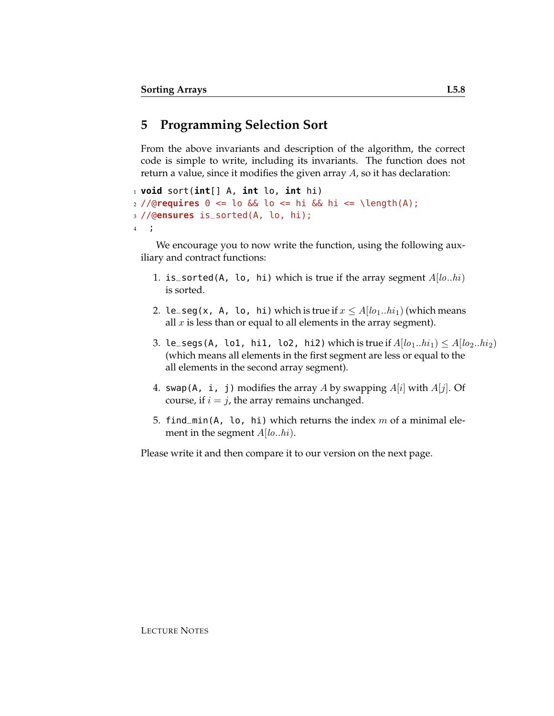## **5 Programming Selection Sort**

From the above invariants and description of the algorithm, the correct code is simple to write, including its invariants. The function does not return a value, since it modifies the given array A, so it has declaration:

```
1 void sort(int[] A, int lo, int hi)
2 //@requires 0 <= lo && lo <= hi && hi <= \length(A);
3 //@ensures is_sorted(A, lo, hi);
4 ;
```
We encourage you to now write the function, using the following auxiliary and contract functions:

- 1. is\_sorted(A, lo, hi) which is true if the array segment  $A[lo..hi)$ is sorted.
- 2. le\_seg(x, A, lo, hi) which is true if  $x \le A[*lo*<sub>1</sub>..*hi*<sub>1</sub>]$  (which means all  $x$  is less than or equal to all elements in the array segment).
- 3. le\_segs(A, lo1, hi1, lo2, hi2) which is true if  $A[*lo*<sub>1</sub>..*hi*<sub>1</sub>) \leq A[*lo*<sub>2</sub>..*hi*<sub>2</sub>)$ (which means all elements in the first segment are less or equal to the all elements in the second array segment).
- 4. swap(A, i, j) modifies the array A by swapping  $A[i]$  with  $A[j]$ . Of course, if  $i = j$ , the array remains unchanged.
- 5. find\_min(A, lo, hi) which returns the index  $m$  of a minimal element in the segment  $A[*lo*..*hi*)$ .

Please write it and then compare it to our version on the next page.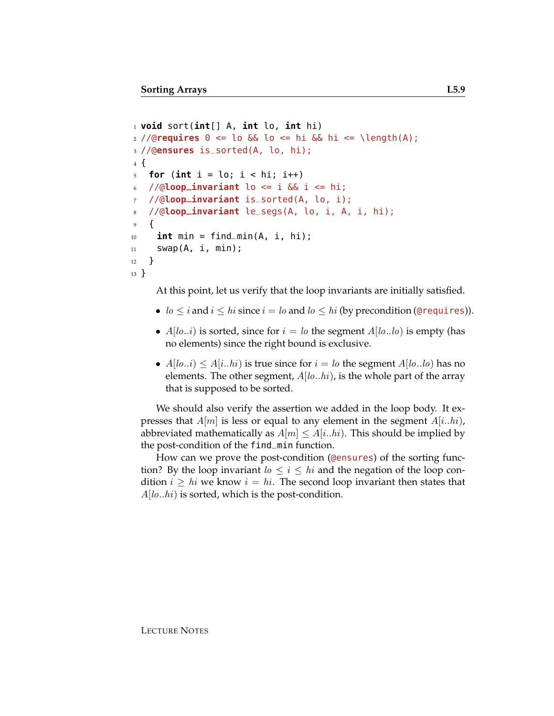```
1 void sort(int[] A, int lo, int hi)
_2 //@requires \theta \le \log \theta and \theta \le \ln \theta and \theta is \theta and \theta and \theta and \theta and \theta and \theta and \theta and \theta and \theta and \theta and \theta and \theta and \theta and \theta and \theta and \theta and \theta and \theta and \3 //@ensures is_sorted(A, lo, hi);
4 {
5 for (int i = \log i < \log i; i++)
     6 //@loop_invariant lo <= i && i <= hi;
7 //@loop_invariant is_sorted(A, lo, i);
8 //@loop_invariant le_segs(A, lo, i, A, i, hi);
9 {
_{10} int min = find_min(A, i, hi);
11 swap(A, i, min);
12 }
13 }
```
At this point, let us verify that the loop invariants are initially satisfied.

- $lo \le i$  and  $i \le hi$  since  $i = lo$  and  $lo \le hi$  (by precondition (@requires)).
- $A[*lo*..*i*)$  is sorted, since for  $i = lo$  the segment  $A[*lo*..*lo*)$  is empty (has no elements) since the right bound is exclusive.
- $A[*lo..i*] \leq A[i..*hi*)$  is true since for  $i = lo$  the segment  $A[*lo..lo*]$  has no elements. The other segment,  $A[*lo*..*hi*)$ , is the whole part of the array that is supposed to be sorted.

We should also verify the assertion we added in the loop body. It expresses that  $A[m]$  is less or equal to any element in the segment  $A[i..hi]$ , abbreviated mathematically as  $A[m] \leq A[i..hi]$ . This should be implied by the post-condition of the find\_min function.

How can we prove the post-condition (@ensures) of the sorting function? By the loop invariant  $l_0 \leq i \leq hi$  and the negation of the loop condition  $i \geq hi$  we know  $i = hi$ . The second loop invariant then states that  $A[*lo*..*hi*)$  is sorted, which is the post-condition.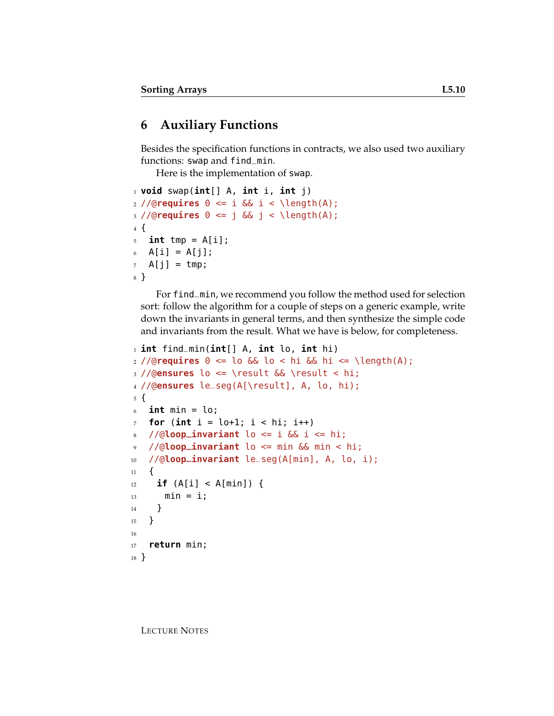## **6 Auxiliary Functions**

Besides the specification functions in contracts, we also used two auxiliary functions: swap and find\_min.

Here is the implementation of swap.

```
1 void swap(int[] A, int i, int j)
2 //@requires 0 \leq i & i \leq \lceil \frac{m}{n} \rceil3 //@requires 0 <= j && j < \length(A);
4 {
5 int tmp = A[i];
6 A[i] = A[j];
7 A[j] = tmp;
8 }
```
For find\_min, we recommend you follow the method used for selection sort: follow the algorithm for a couple of steps on a generic example, write down the invariants in general terms, and then synthesize the simple code and invariants from the result. What we have is below, for completeness.

```
1 int find_min(int[] A, int lo, int hi)
2 //@requires 0 \leq 10 && 10 \leq hi && hi \leq \leq \leq \leq h3 //@ensures lo <= \result && \result < hi;
4 //@ensures le_seg(A[\result], A, lo, hi);
5 {
6 int min = lo;
7 for (int i = \text{lo+1}; i < \text{hi}; i++)8 / / (aloop_invariant lo <= i \&\& i <= hi;
9 //@loop_invariant lo <= min && min < hi;
10 //@loop_invariant le_seg(A[min], A, lo, i);
11 \quad \{12 if (A[i] < A[min]) {
13 min = i;
14 }
15 }
16
17 return min;
18 }
```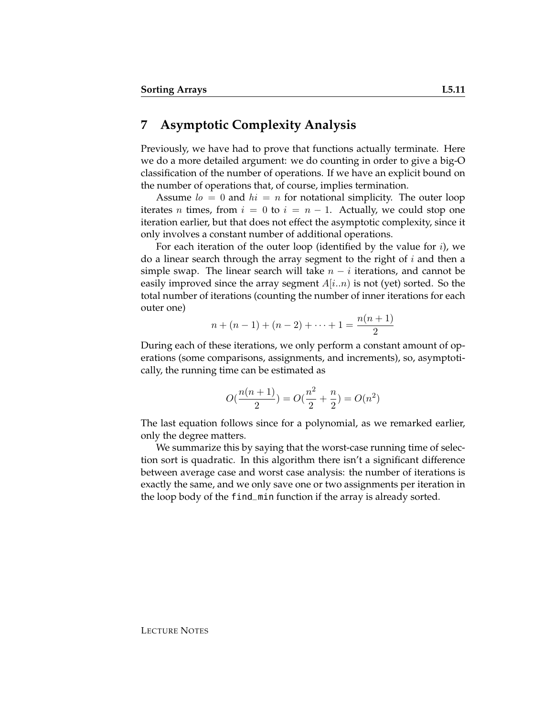#### **7 Asymptotic Complexity Analysis**

Previously, we have had to prove that functions actually terminate. Here we do a more detailed argument: we do counting in order to give a big-O classification of the number of operations. If we have an explicit bound on the number of operations that, of course, implies termination.

Assume  $l_0 = 0$  and  $hi = n$  for notational simplicity. The outer loop iterates *n* times, from  $i = 0$  to  $i = n - 1$ . Actually, we could stop one iteration earlier, but that does not effect the asymptotic complexity, since it only involves a constant number of additional operations.

For each iteration of the outer loop (identified by the value for  $i$ ), we do a linear search through the array segment to the right of  $i$  and then a simple swap. The linear search will take  $n - i$  iterations, and cannot be easily improved since the array segment  $A[i..n]$  is not (yet) sorted. So the total number of iterations (counting the number of inner iterations for each outer one)

$$
n + (n - 1) + (n - 2) + \dots + 1 = \frac{n(n + 1)}{2}
$$

During each of these iterations, we only perform a constant amount of operations (some comparisons, assignments, and increments), so, asymptotically, the running time can be estimated as

$$
O(\frac{n(n+1)}{2}) = O(\frac{n^2}{2} + \frac{n}{2}) = O(n^2)
$$

The last equation follows since for a polynomial, as we remarked earlier, only the degree matters.

We summarize this by saying that the worst-case running time of selection sort is quadratic. In this algorithm there isn't a significant difference between average case and worst case analysis: the number of iterations is exactly the same, and we only save one or two assignments per iteration in the loop body of the find\_min function if the array is already sorted.